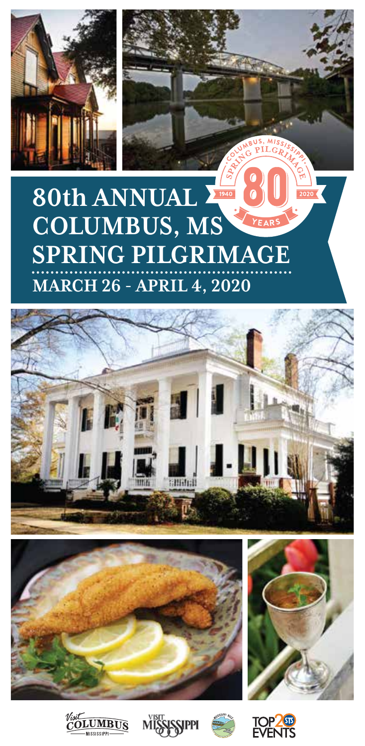

## **80th ANNUAL COLUMBUS, MS** YFAR **SPRING PILGRIMAGE MARCH 26 - APRIL 4, 2020**













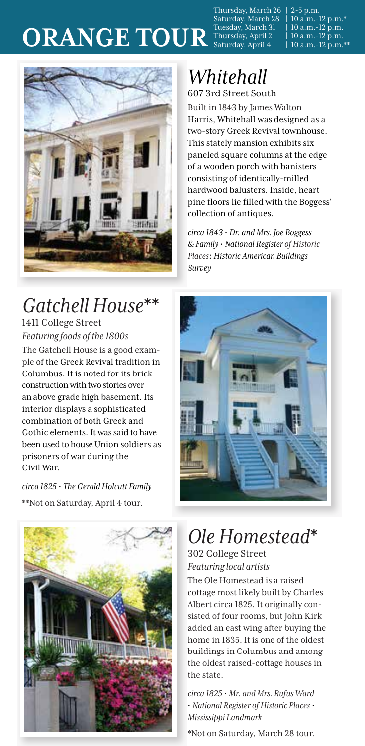Thursday, March 26 | 2-5 p.m. Saturday, March 28 | 10 a.m.-12 p.m.\* Thursday, March 26 | 2-5 p.m.<br>Saturday, March 28 | 10 a.m.-12 p.m.\*<br>Tuesday, March 31 | 10 a.m.-12 p.m.<br>Thursday, April 2 | 10 a.m.-12 p.m.

ORANGE TOUR<sup>Tuesday, March 31 | 10 a.m.-12 p.m.</sup><br>Saturday, April 4 | 10 a.m.-12 p.m.



### *Gatchell House*\*\* 1411 College Street *Featuring foods of the 1800s*

The Gatchell House is a good example of the Greek Revival tradition in Columbus. It is noted for its brick construction with two stories over an above grade high basement. Its interior displays a sophisticated combination of both Greek and Gothic elements. It was said to have been used to house Union soldiers as prisoners of war during the Civil War.

*circa 1825* **·** *The Gerald Holcutt Family* \*\*Not on Saturday, April 4 tour.



# *Whitehall*

607 3rd Street South

Built in 1843 by James Walton Harris, Whitehall was designed as a two-story Greek Revival townhouse. This stately mansion exhibits six paneled square columns at the edge of a wooden porch with banisters consisting of identically-milled hardwood balusters. Inside, heart pine floors lie filled with the Boggess' collection of antiques.

*circa 1843* **·** *Dr. and Mrs. Joe Boggess & Family* **·** *National Register of Historic Places***:** *Historic American Buildings Survey*



# *Ole Homestead*\*

302 College Street *Featuring local artists*

The Ole Homestead is a raised cottage most likely built by Charles Albert circa 1825. It originally consisted of four rooms, but John Kirk added an east wing after buying the home in 1835. It is one of the oldest buildings in Columbus and among the oldest raised-cottage houses in the state.

*circa 1825* **·** *Mr. and Mrs. Rufus Ward* **·** *National Register of Historic Places* **·** *Mississippi Landmark*

\*Not on Saturday, March 28 tour.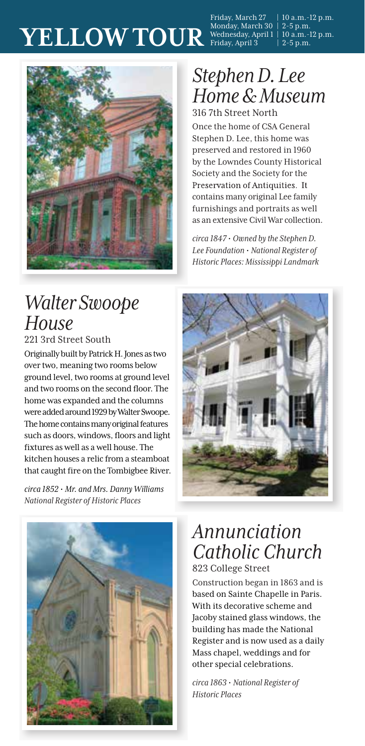# $\mathbf{YELLOW TOUR} \ \mathrm{^{Friday, March~27 \quad | \ 10 \ a.m.-12 \ p.m.} \ \mathrm{Weduesday, April~1 \ | \ 10 \ a.m.-12 \ p.m.} \ \mathrm{YELLOW TOUR} \ \mathrm{^{Wednesday, April~3 \quad | \ 2-5 \ p.m.} \ \mathrm{Pb.} \ \mathrm{Weduesday, April~3 \quad | \ 2-5 \ p.m.} }$



### *Stephen D. Lee Home&Museum* 316 7th Street North

Once the home of CSA General Stephen D. Lee, this home was preserved and restored in 1960 by the Lowndes County Historical Society and the Society for the Preservation of Antiquities. It contains many original Lee family furnishings and portraits as well as an extensive Civil War collection.

*circa 1847***·** *Owned by the Stephen D. Lee Foundation* **·** *National Register of Historic Places: Mississippi Landmark*

### *Walter Swoope House*

221 3rd Street South

Originally built by Patrick H. Jones as two over two, meaning two rooms below ground level, two rooms at ground level and two rooms on the second floor. The home was expanded and the columns were added around 1929 by Walter Swoope. The home contains many original features such as doors, windows, floors and light fixtures as well as a well house. The kitchen houses a relic from a steamboat that caught fire on the Tombigbee River.

*circa 1852* **·** *Mr. and Mrs. Danny Williams National Register of Historic Places*





# *Annunciation Catholic Church*

823 College Street

Construction began in 1863 and is based on Sainte Chapelle in Paris. With its decorative scheme and Jacoby stained glass windows, the building has made the National Register and is now used as a daily Mass chapel, weddings and for other special celebrations.

*circa 1863* **·** *National Register of Historic Places*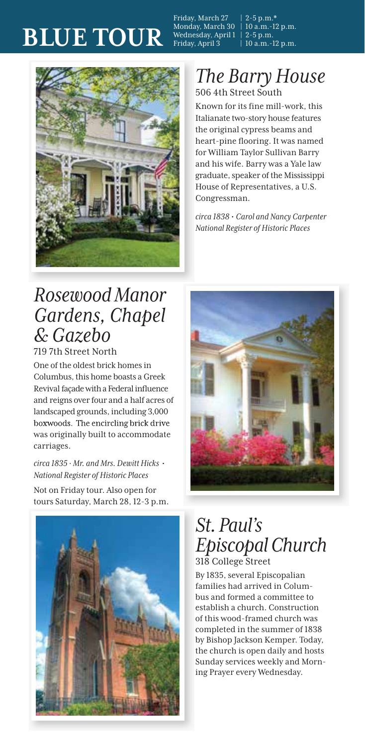# **BLUE TOUR**

Friday, March 27 | 2-5 p.m.\*<br>Monday, March 30 | 10 a.m.-12 p.m. Monday, March 30 | 10 a.m.-<br>Wednesday, April 1 | 2-5 p.m. Wednesday, April 1<br>Friday, April 3

 $10$  a.m.-12 p.m.



### *The Barry House* 506 4th Street South

Known for its fine mill-work, this Italianate two-story house features the original cypress beams and heart-pine flooring. It was named for William Taylor Sullivan Barry and his wife. Barry was a Yale law graduate, speaker of the Mississippi House of Representatives, a U.S. Congressman.

*circa 1838* **·** *Carol and Nancy Carpenter National Register of Historic Places*

### *Rosewood Manor Gardens, Chapel & Gazebo*

719 7th Street North

One of the oldest brick homes in Columbus, this home boasts a Greek Revival façade with a Federal influence and reigns over four and a half acres of landscaped grounds, including 3,000 boxwoods. The encircling brick drive was originally built to accommodate carriages.

*circa 1835 · Mr. and Mrs. Dewitt Hicks* **·** *National Register of Historic Places*

Not on Friday tour. Also open for tours Saturday, March 28, 12-3 p.m.





### *St.Paul's EpiscopalChurch* 318 College Street

By 1835, several Episcopalian families had arrived in Columbus and formed a committee to establish a church. Construction of this wood-framed church was completed in the summer of 1838 by Bishop Jackson Kemper. Today, the church is open daily and hosts Sunday services weekly and Morning Prayer every Wednesday.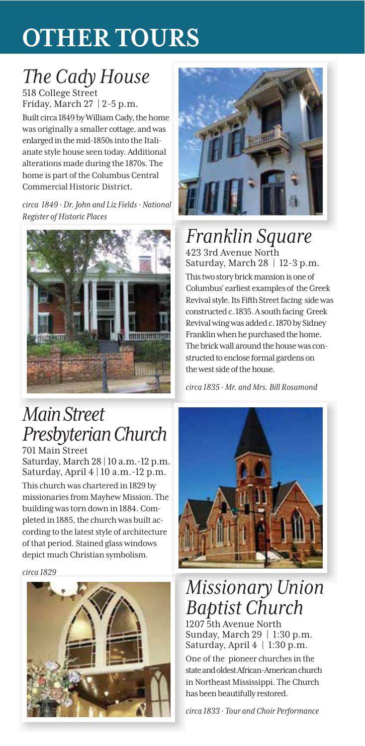# **OTHER TOURS**

# *The Cady House*

518 College Street Friday, March 27 | 2-5 p.m. Built circa 1849 by William Cady, the home was originally a smaller cottage, and was enlarged in the mid-1850sinto the Italianate style house seen today. Additional alterations made during the 1870s. The home is part of the Columbus Central Commercial Historic District.

*circa 1849 · Dr. John and Liz Fields · National Register of Historic Places*



## *Main Street Presbyterian Church*

701 Main Street Saturday, March 28 | 10 a.m.-12 p.m.<br>Saturday, April 4 | 10 a.m.-12 p.m.

This church was chartered in 1829 by missionaries from Mayhew Mission. The building was torn down in 1884. Completed in 1885, the church was built according to the latest style of architecture of that period. Stained glass windows depict much Christian symbolism.

*circa 1829*





# *Franklin Square*

423 3rd Avenue North Saturday, March 28 | 12-3 p.m. This two story brick mansion is one of Columbus' earliest examples of the Greek Revival style. Its Fifth Street facing side was constructed c. 1835. A south facing Greek Revival wing was added c. 1870 by Sidney Franklin when he purchased the home. The brick wall around the house was constructed to enclose formal gardens on the west side of the house.

*circa 1835 · Mr. and Mrs. Bill Rosamond*



## *Missionary Union Baptist Church*

1207 5th Avenue North Sunday, March 29 | 1:30 p.m. Saturday, April 4 | 1:30 p.m.

One of the pioneer churches in the stateand oldest African-American church in Northeast Mississippi. The Church has been beautifully restored.

*circa 1833 · Tour and Choir Performance*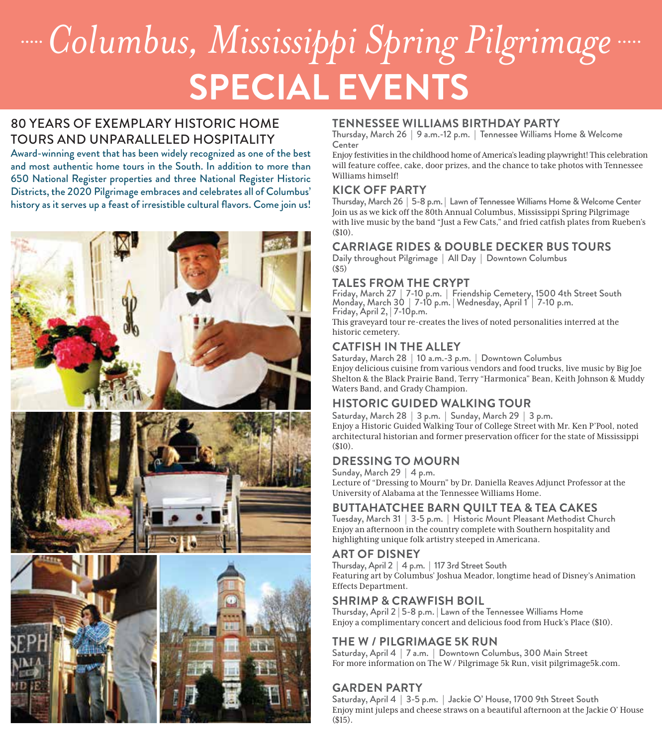# **SPECIAL EVENTS** *Columbus, Mississippi Spring Pilgrimage*

### 80 YEARS OF EXEMPLARY HISTORIC HOME TOURS AND UNPARALLELED HOSPITALITY

Award-winning event that has been widely recognized as one of the best and most authentic home tours in the South. In addition to more than 650 National Register properties and three National Register Historic Districts, the 2020 Pilgrimage embraces and celebrates all of Columbus' history as it serves up a feast of irresistible cultural flavors. Come join us!



#### **TENNESSEE WILLIAMS BIRTHDAY PARTY**

Thursday, March 26 | 9 a.m.-12 p.m. | Tennessee Williams Home & Welcome Center

Enjoy festivities in the childhood home of America'sleading playwright! This celebration will feature coffee, cake, door prizes, and the chance to take photos with Tennessee Williams himself!

#### **KICK OFF PARTY**

Thursday, March 26 | 5-8 p.m. | Lawn of Tennessee Williams Home & Welcome Center Join us as we kick off the 80th Annual Columbus, Mississippi Spring Pilgrimage with live music by the band "Just a Few Cats," and fried catfish plates from Rueben's (\$10).

### **CARRIAGE RIDES & DOUBLE DECKER BUS TOURS**

Daily throughout Pilgrimage | All Day | Downtown Columbus (\$5)

### **TALES FROM THE CRYPT**

Friday, March 27 | 7-10 p.m. | Friendship Cemetery, 1500 4th Street South<br>Monday, March 30 | 7-10 p.m. | Wednesday, April 1 | 7-10 p.m.<br>Friday, April 2, | 7-10p.m. This graveyard tour re-creates the lives of noted personalities interred at the historic cemetery.

### **CATFISH IN THE ALLEY**

Saturday, March 28 | 10 a.m.-3 p.m. | Downtown Columbus Enjoy delicious cuisine from various vendors and food trucks, live music by Big Joe Shelton & the Black Prairie Band, Terry "Harmonica" Bean, Keith Johnson & Muddy Waters Band, and Grady Champion.

### **HISTORIC GUIDED WALKING TOUR**

Saturday, March 28 | 3 p.m. | Sunday, March 29 | 3 p.m. Enjoy a Historic Guided Walking Tour of College Street with Mr. Ken P'Pool, noted architectural historian and former preservation officer for the state of Mississippi (\$10).

### **DRESSING TO MOURN**

Sunday, March 29 | 4 p.m.

Lecture of "Dressing to Mourn" by Dr. Daniella Reaves Adjunct Professor at the University of Alabama at the Tennessee Williams Home.

### **BUTTAHATCHEE BARN QUILT TEA & TEA CAKES**

Tuesday, March 31 | 3-5 p.m. | Historic Mount Pleasant Methodist Church Enjoy an afternoon in the country complete with Southern hospitality and highlighting unique folk artistry steeped in Americana.

### **ART OF DISNEY**

Thursday, April 2 | 4 p.m. | 117 3rd Street South Featuring art by Columbus' Joshua Meador, longtime head of Disney's Animation Effects Department.

### **SHRIMP & CRAWFISH BOIL**

Thursday, April 2 | 5-8 p.m. | Lawn of the Tennessee Williams Home Enjoy a complimentary concert and delicious food from Huck's Place (\$10).

### **THE W / PILGRIMAGE 5K RUN**

Saturday, April 4 | 7 a.m. | Downtown Columbus, 300 Main Street For more information on The W / Pilgrimage 5k Run, visit pilgrimage5k.com.

### **GARDEN PARTY**

Saturday, April 4 | 3-5 p.m. | Jackie O' House, 1700 9th Street South Enjoy mint juleps and cheese straws on a beautiful afternoon at the Jackie O' House (\$15).